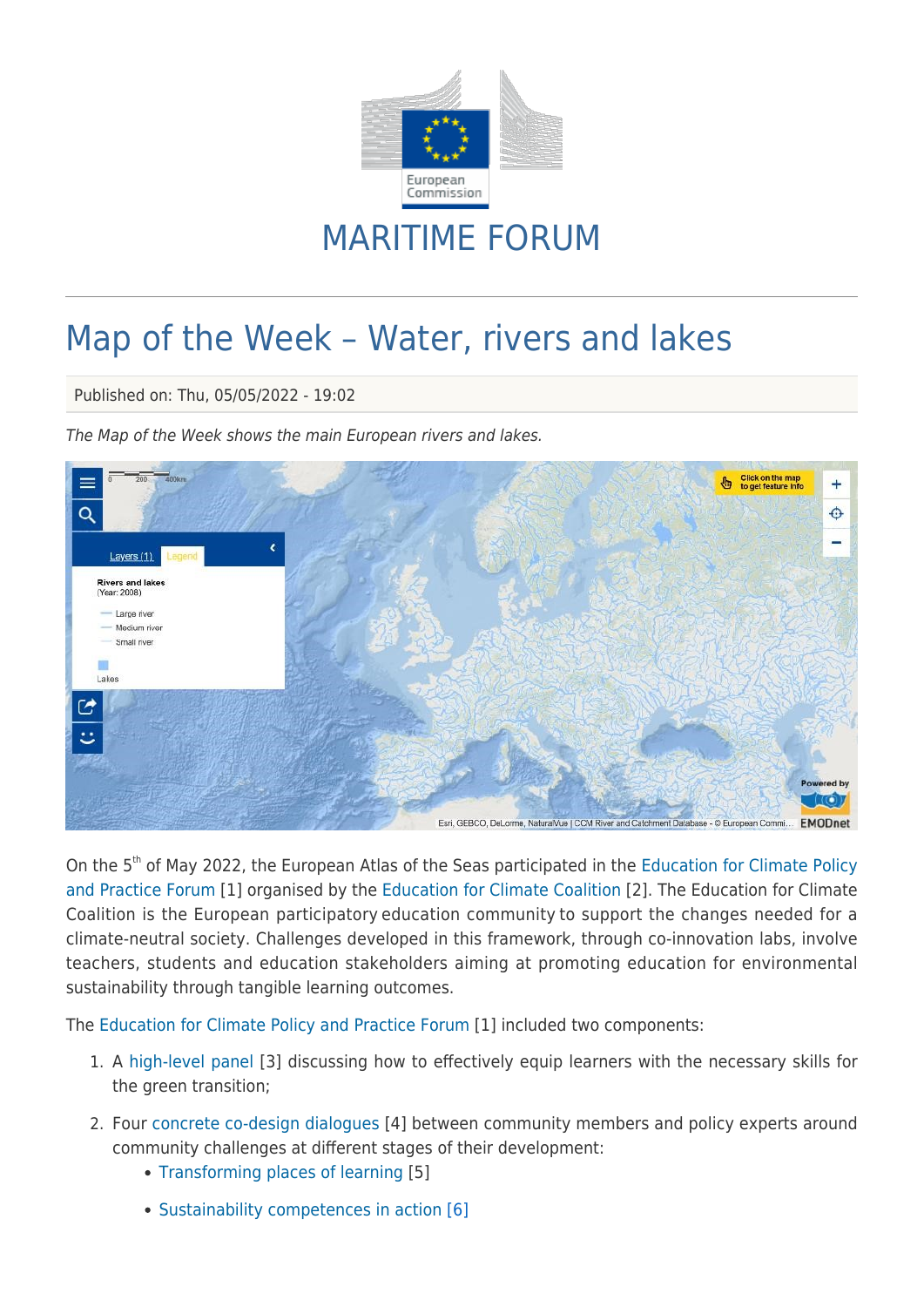

## MARITIME FORUM

## Map of the Week – Water, rivers and lakes

Published on: Thu, 05/05/2022 - 19:02

The Map of the Week shows the main European rivers and lakes.



On the 5<sup>th</sup> of May 2022, the European Atlas of the Seas participated in the [Education for Climate Policy](https://education-for-climate.ec.europa.eu/community/policyevent/about) [and Practice Forum](https://education-for-climate.ec.europa.eu/community/policyevent/about) [1] organised by the [Education for Climate Coalition](https://education-for-climate.ec.europa.eu/community/home) [2]. The Education for Climate Coalition is the European participatory education community to support the changes needed for a climate-neutral society. Challenges developed in this framework, through co-innovation labs, involve teachers, students and education stakeholders aiming at promoting education for environmental sustainability through tangible learning outcomes.

The [Education for Climate Policy and Practice Forum](https://education-for-climate.ec.europa.eu/community/policyevent/about) [1] included two components:

- 1. A [high-level panel](https://education-for-climate.ec.europa.eu/community/policyevent/event/policy-and-practice-forum-high-level-panel-how-concretely-equip-learners) [3] discussing how to effectively equip learners with the necessary skills for the green transition;
- 2. Four [concrete co-design dialogues](https://education-for-climate.ec.europa.eu/community/search/content/co-design%20dialogue?sort_bef_combine=search_api_relevance+DESC&type=event&field_event_date_op=%3E&field_event_date%5Bvalue%5D=2022-05-04&field_event_date%5Bmin%5D=&field_event_date%5Bmax%5D=) [4] between community members and policy experts around community challenges at different stages of their development:
	- [Transforming places of learning](https://education-for-climate.ec.europa.eu/community/policyevent/event/policy-and-practice-forum-co-design-dialogue-transforming-places-learning) [5]
	- [Sustainability competences in action](https://education-for-climate.ec.europa.eu/community/policyevent/event/policy-and-practice-forum-co-design-dialogue-sustainability-competences-action) [6]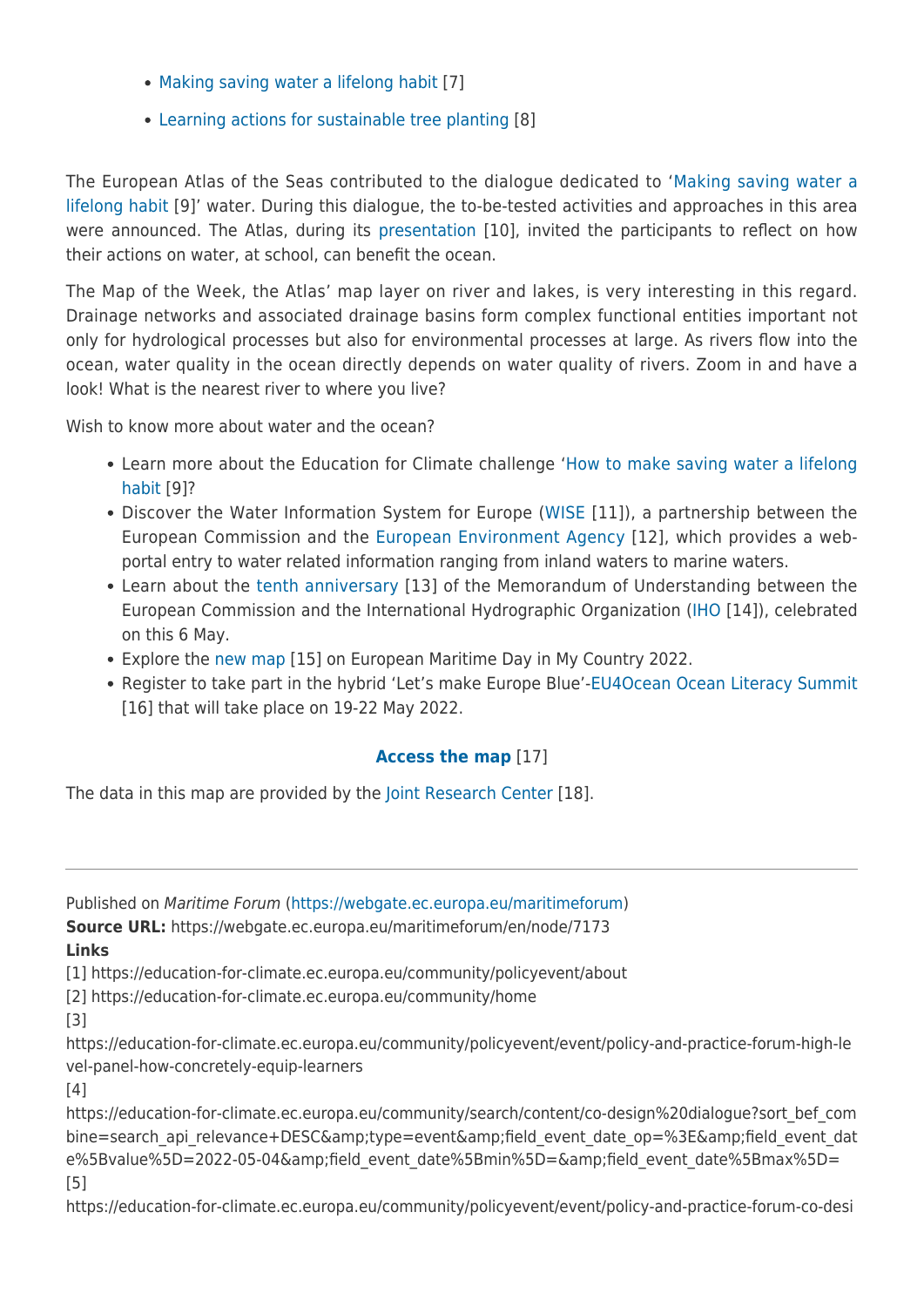- [Making saving water a lifelong habit](https://education-for-climate.ec.europa.eu/community/policyevent/event/policy-and-practice-forum-co-design-dialogue-making-saving-water-lifelong-habit) [7]
- [Learning actions for sustainable tree planting](https://education-for-climate.ec.europa.eu/community/3BT/event/policy-and-practice-forum-co-design-dialogue-learning-actions-sustainable-tree-planting) [8]

The European Atlas of the Seas contributed to the dialogue dedicated to '[Making saving water a](https://education-for-climate.ec.europa.eu/community/saving-water-habits/about) [lifelong habit](https://education-for-climate.ec.europa.eu/community/saving-water-habits/about) [9]' water. During this dialogue, the to-be-tested activities and approaches in this area were announced. The Atlas, during its [presentation](https://webgate.ec.europa.eu/maritimeforum/en/system/files/forum_atlas_educationforclimate_may2022.pdf) [10], invited the participants to reflect on how their actions on water, at school, can benefit the ocean.

The Map of the Week, the Atlas' map layer on river and lakes, is very interesting in this regard. Drainage networks and associated drainage basins form complex functional entities important not only for hydrological processes but also for environmental processes at large. As rivers flow into the ocean, water quality in the ocean directly depends on water quality of rivers. Zoom in and have a look! What is the nearest river to where you live?

Wish to know more about water and the ocean?

- Learn more about the Education for Climate challenge '[How to make saving water a lifelong](https://education-for-climate.ec.europa.eu/community/saving-water-habits/about) [habit](https://education-for-climate.ec.europa.eu/community/saving-water-habits/about) [9]?
- Discover the Water Information System for Europe [\(WISE](https://water.europa.eu/) [11]), a partnership between the European Commission and the [European Environment Agency](https://www.eea.europa.eu/) [12], which provides a webportal entry to water related information ranging from inland waters to marine waters.
- Learn about the [tenth anniversary](https://webgate.ec.europa.eu/maritimeforum/en/node/7110) [13] of the Memorandum of Understanding between the European Commission and the International Hydrographic Organization [\(IHO](https://iho.int/) [14]), celebrated on this 6 May.
- Explore the [new map](https://ec.europa.eu/maritimeaffairs/atlas/maritime_atlas/#lang=EN;p=w;bkgd=5;theme=477:0.9;c=480934.987567991,6915904.942801012;z=4;e=t) [15] on European Maritime Day in My Country 2022.
- Register to take part in the hybrid 'Let's make Europe Blue'-[EU4Ocean Ocean Literacy Summit](https://webgate.ec.europa.eu/maritimeforum/en/node/6964) [16] that will take place on 19-22 May 2022.

## **[Access the map](https://ec.europa.eu/maritimeaffairs/atlas/maritime_atlas/#lang=EN;p=w;bkgd=5;theme=10:0.75;c=480934.987567991,6915904.942801013;z=4;e=t)** [17]

The data in this map are provided by the [Joint Research Center](https://publications.jrc.ec.europa.eu/repository/) [18].

Published on Maritime Forum ([https://webgate.ec.europa.eu/maritimeforum\)](https://webgate.ec.europa.eu/maritimeforum)

**Source URL:** https://webgate.ec.europa.eu/maritimeforum/en/node/7173 **Links**

[1] https://education-for-climate.ec.europa.eu/community/policyevent/about

[2] https://education-for-climate.ec.europa.eu/community/home

[3]

https://education-for-climate.ec.europa.eu/community/policyevent/event/policy-and-practice-forum-high-le vel-panel-how-concretely-equip-learners

[4]

https://education-for-climate.ec.europa.eu/community/search/content/co-design%20dialogue?sort\_bef\_com bine=search api relevance+DESC&type=event&field event date op=%3E&field event dat e%5Bvalue%5D=2022-05-04&field\_event\_date%5Bmin%5D=&field\_event\_date%5Bmax%5D= [5]

https://education-for-climate.ec.europa.eu/community/policyevent/event/policy-and-practice-forum-co-desi